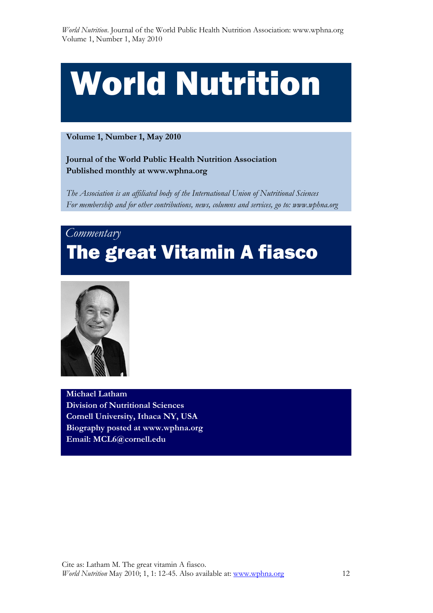# World Nutrition

 **Volume 1, Number 1, May 2010** 

 **Journal of the World Public Health Nutrition Association Published monthly at www.wphna.org** 

 *The Association is an affiliated body of the International Union of Nutritional Sciences For membership and for other contributions, news, columns and services, go to: www.wphna.org* 

## *Commentary*  The great Vitamin A fiasco



 **Michael Latham Division of Nutritional Sciences Cornell University, Ithaca NY, USA Biography posted at www.wphna.org Email: MCL6@cornell.edu**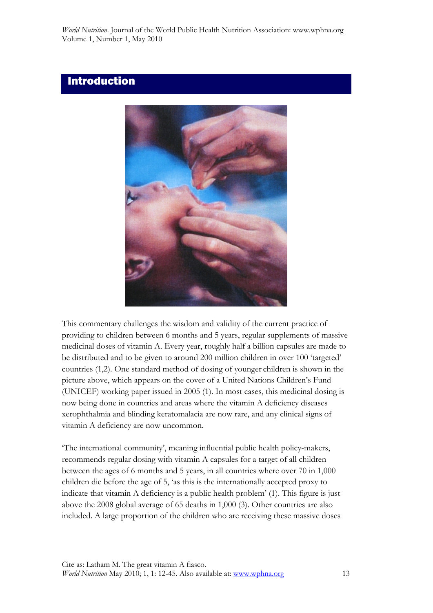## Introduction



This commentary challenges the wisdom and validity of the current practice of providing to children between 6 months and 5 years, regular supplements of massive medicinal doses of vitamin A. Every year, roughly half a billion capsules are made to be distributed and to be given to around 200 million children in over 100 'targeted' countries (1,2). One standard method of dosing of younger children is shown in the picture above, which appears on the cover of a United Nations Children's Fund (UNICEF) working paper issued in 2005 (1). In most cases, this medicinal dosing is now being done in countries and areas where the vitamin A deficiency diseases xerophthalmia and blinding keratomalacia are now rare, and any clinical signs of vitamin A deficiency are now uncommon.

'The international community', meaning influential public health policy-makers, recommends regular dosing with vitamin A capsules for a target of all children between the ages of 6 months and 5 years, in all countries where over 70 in 1,000 children die before the age of 5, 'as this is the internationally accepted proxy to indicate that vitamin A deficiency is a public health problem' (1). This figure is just above the 2008 global average of 65 deaths in 1,000 (3). Other countries are also included. A large proportion of the children who are receiving these massive doses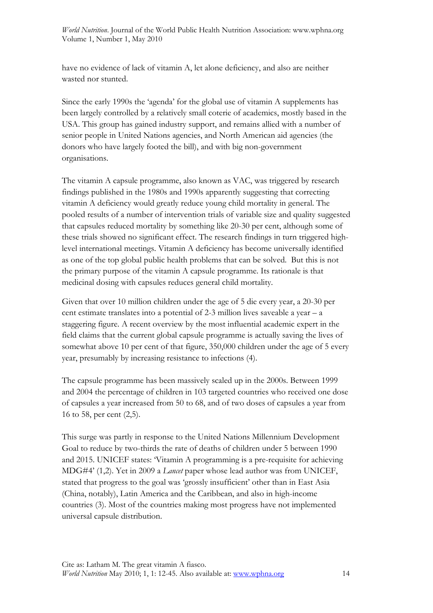have no evidence of lack of vitamin A, let alone deficiency, and also are neither wasted nor stunted.

Since the early 1990s the 'agenda' for the global use of vitamin A supplements has been largely controlled by a relatively small coterie of academics, mostly based in the USA. This group has gained industry support, and remains allied with a number of senior people in United Nations agencies, and North American aid agencies (the donors who have largely footed the bill), and with big non-government organisations.

The vitamin A capsule programme, also known as VAC, was triggered by research findings published in the 1980s and 1990s apparently suggesting that correcting vitamin A deficiency would greatly reduce young child mortality in general. The pooled results of a number of intervention trials of variable size and quality suggested that capsules reduced mortality by something like 20-30 per cent, although some of these trials showed no significant effect. The research findings in turn triggered highlevel international meetings. Vitamin A deficiency has become universally identified as one of the top global public health problems that can be solved. But this is not the primary purpose of the vitamin A capsule programme. Its rationale is that medicinal dosing with capsules reduces general child mortality.

Given that over 10 million children under the age of 5 die every year, a 20-30 per cent estimate translates into a potential of 2-3 million lives saveable a year – a staggering figure. A recent overview by the most influential academic expert in the field claims that the current global capsule programme is actually saving the lives of somewhat above 10 per cent of that figure, 350,000 children under the age of 5 every year, presumably by increasing resistance to infections (4).

The capsule programme has been massively scaled up in the 2000s. Between 1999 and 2004 the percentage of children in 103 targeted countries who received one dose of capsules a year increased from 50 to 68, and of two doses of capsules a year from 16 to 58, per cent (2,5).

This surge was partly in response to the United Nations Millennium Development Goal to reduce by two-thirds the rate of deaths of children under 5 between 1990 and 2015. UNICEF states: 'Vitamin A programming is a pre-requisite for achieving MDG#4' (1,2). Yet in 2009 a *Lancet* paper whose lead author was from UNICEF, stated that progress to the goal was 'grossly insufficient' other than in East Asia (China, notably), Latin America and the Caribbean, and also in high-income countries (3). Most of the countries making most progress have not implemented universal capsule distribution.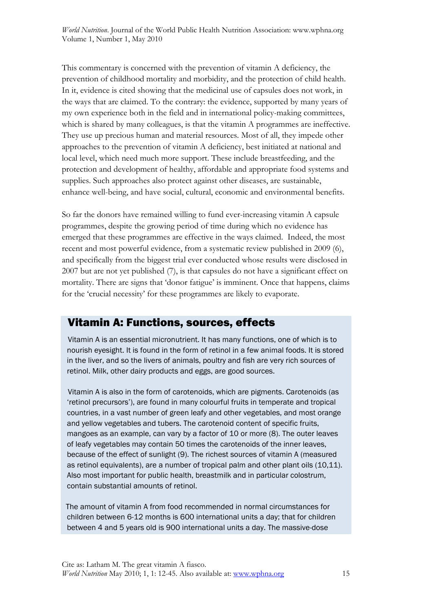This commentary is concerned with the prevention of vitamin A deficiency, the prevention of childhood mortality and morbidity, and the protection of child health. In it, evidence is cited showing that the medicinal use of capsules does not work, in the ways that are claimed. To the contrary: the evidence, supported by many years of my own experience both in the field and in international policy-making committees, which is shared by many colleagues, is that the vitamin A programmes are ineffective. They use up precious human and material resources. Most of all, they impede other approaches to the prevention of vitamin A deficiency, best initiated at national and local level, which need much more support. These include breastfeeding, and the protection and development of healthy, affordable and appropriate food systems and supplies. Such approaches also protect against other diseases, are sustainable, enhance well-being, and have social, cultural, economic and environmental benefits.

So far the donors have remained willing to fund ever-increasing vitamin A capsule programmes, despite the growing period of time during which no evidence has emerged that these programmes are effective in the ways claimed. Indeed, the most recent and most powerful evidence, from a systematic review published in 2009 (6), and specifically from the biggest trial ever conducted whose results were disclosed in 2007 but are not yet published (7), is that capsules do not have a significant effect on mortality. There are signs that 'donor fatigue' is imminent. Once that happens, claims for the 'crucial necessity' for these programmes are likely to evaporate.

## Vitamin A: Functions, sources, effects

 Vitamin A is an essential micronutrient. It has many functions, one of which is to nourish eyesight. It is found in the form of retinol in a few animal foods. It is stored in the liver, and so the livers of animals, poultry and fish are very rich sources of retinol. Milk, other dairy products and eggs, are good sources.

 Vitamin A is also in the form of carotenoids, which are pigments. Carotenoids (as 'retinol precursors'), are found in many colourful fruits in temperate and tropical countries, in a vast number of green leafy and other vegetables, and most orange and yellow vegetables and tubers. The carotenoid content of specific fruits, mangoes as an example, can vary by a factor of 10 or more (8). The outer leaves of leafy vegetables may contain 50 times the carotenoids of the inner leaves, because of the effect of sunlight (9). The richest sources of vitamin A (measured as retinol equivalents), are a number of tropical palm and other plant oils (10,11). Also most important for public health, breastmilk and in particular colostrum, contain substantial amounts of retinol.

 The amount of vitamin A from food recommended in normal circumstances for children between 6-12 months is 600 international units a day; that for children between 4 and 5 years old is 900 international units a day. The massive-dose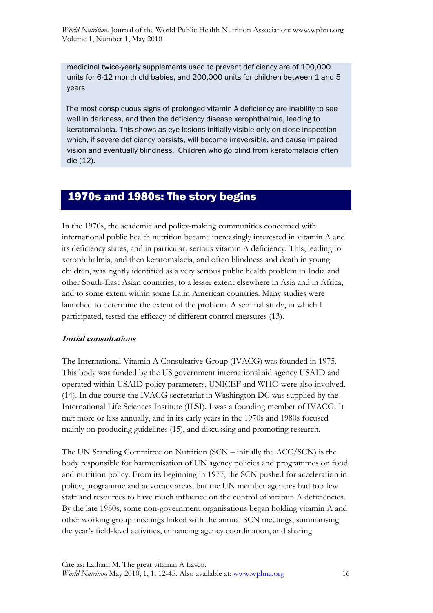medicinal twice-yearly supplements used to prevent deficiency are of 100,000 units for 6-12 month old babies, and 200,000 units for children between 1 and 5 years

 The most conspicuous signs of prolonged vitamin A deficiency are inability to see well in darkness, and then the deficiency disease xerophthalmia, leading to keratomalacia. This shows as eye lesions initially visible only on close inspection which, if severe deficiency persists, will become irreversible, and cause impaired vision and eventually blindness. Children who go blind from keratomalacia often die (12).

## 1970s and 1980s: The story begins

In the 1970s, the academic and policy-making communities concerned with international public health nutrition became increasingly interested in vitamin A and its deficiency states, and in particular, serious vitamin A deficiency. This, leading to xerophthalmia, and then keratomalacia, and often blindness and death in young children, was rightly identified as a very serious public health problem in India and other South-East Asian countries, to a lesser extent elsewhere in Asia and in Africa, and to some extent within some Latin American countries. Many studies were launched to determine the extent of the problem. A seminal study, in which I participated, tested the efficacy of different control measures (13).

#### **Initial consultations**

The International Vitamin A Consultative Group (IVACG) was founded in 1975. This body was funded by the US government international aid agency USAID and operated within USAID policy parameters. UNICEF and WHO were also involved. (14). In due course the IVACG secretariat in Washington DC was supplied by the International Life Sciences Institute (ILSI). I was a founding member of IVACG. It met more or less annually, and in its early years in the 1970s and 1980s focused mainly on producing guidelines (15), and discussing and promoting research.

The UN Standing Committee on Nutrition (SCN – initially the ACC/SCN) is the body responsible for harmonisation of UN agency policies and programmes on food and nutrition policy. From its beginning in 1977, the SCN pushed for acceleration in policy, programme and advocacy areas, but the UN member agencies had too few staff and resources to have much influence on the control of vitamin A deficiencies. By the late 1980s, some non-government organisations began holding vitamin A and other working group meetings linked with the annual SCN meetings, summarising the year's field-level activities, enhancing agency coordination, and sharing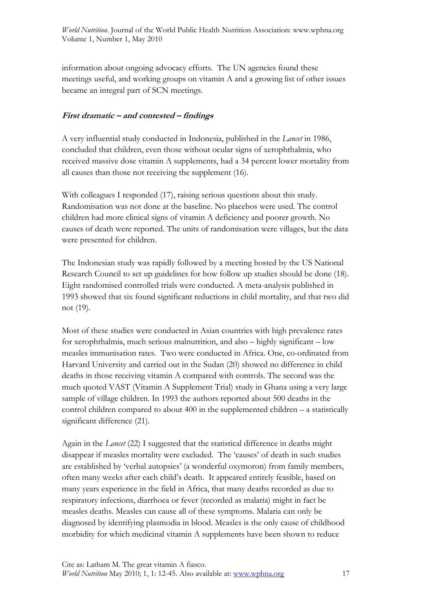information about ongoing advocacy efforts. The UN agencies found these meetings useful, and working groups on vitamin A and a growing list of other issues became an integral part of SCN meetings.

#### **First dramatic – and contested – findings**

A very influential study conducted in Indonesia, published in the *Lancet* in 1986, concluded that children, even those without ocular signs of xerophthalmia, who received massive dose vitamin A supplements, had a 34 percent lower mortality from all causes than those not receiving the supplement (16).

With colleagues I responded (17), raising serious questions about this study. Randomisation was not done at the baseline. No placebos were used. The control children had more clinical signs of vitamin A deficiency and poorer growth. No causes of death were reported. The units of randomisation were villages, but the data were presented for children.

The Indonesian study was rapidly followed by a meeting hosted by the US National Research Council to set up guidelines for how follow up studies should be done (18). Eight randomised controlled trials were conducted. A meta-analysis published in 1993 showed that six found significant reductions in child mortality, and that two did not (19).

Most of these studies were conducted in Asian countries with high prevalence rates for xerophthalmia, much serious malnutrition, and also – highly significant – low measles immunisation rates. Two were conducted in Africa. One, co-ordinated from Harvard University and carried out in the Sudan (20) showed no difference in child deaths in those receiving vitamin A compared with controls. The second was the much quoted VAST (Vitamin A Supplement Trial) study in Ghana using a very large sample of village children. In 1993 the authors reported about 500 deaths in the control children compared to about 400 in the supplemented children – a statistically significant difference (21).

Again in the *Lancet* (22) I suggested that the statistical difference in deaths might disappear if measles mortality were excluded. The 'causes' of death in such studies are established by 'verbal autopsies' (a wonderful oxymoron) from family members, often many weeks after each child's death. It appeared entirely feasible, based on many years experience in the field in Africa, that many deaths recorded as due to respiratory infections, diarrhoea or fever (recorded as malaria) might in fact be measles deaths. Measles can cause all of these symptoms. Malaria can only be diagnosed by identifying plasmodia in blood. Measles is the only cause of childhood morbidity for which medicinal vitamin A supplements have been shown to reduce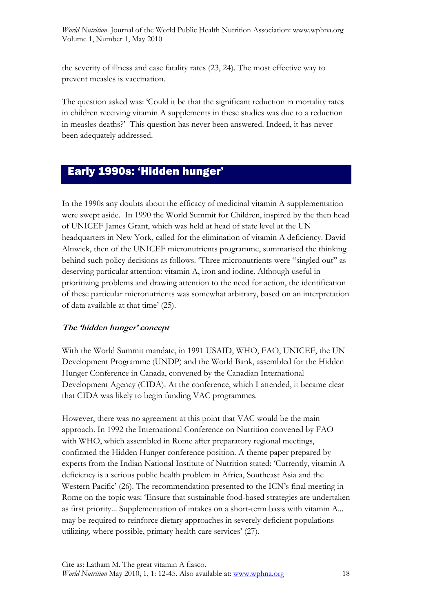the severity of illness and case fatality rates (23, 24). The most effective way to prevent measles is vaccination.

The question asked was: 'Could it be that the significant reduction in mortality rates in children receiving vitamin A supplements in these studies was due to a reduction in measles deaths?' This question has never been answered. Indeed, it has never been adequately addressed.

## Early 1990s: 'Hidden hunger'

In the 1990s any doubts about the efficacy of medicinal vitamin A supplementation were swept aside. In 1990 the World Summit for Children, inspired by the then head of UNICEF James Grant, which was held at head of state level at the UN headquarters in New York, called for the elimination of vitamin A deficiency. David Alnwick, then of the UNICEF micronutrients programme, summarised the thinking behind such policy decisions as follows. 'Three micronutrients were "singled out" as deserving particular attention: vitamin A, iron and iodine. Although useful in prioritizing problems and drawing attention to the need for action, the identification of these particular micronutrients was somewhat arbitrary, based on an interpretation of data available at that time' (25).

#### **The 'hidden hunger' concept**

With the World Summit mandate, in 1991 USAID, WHO, FAO, UNICEF, the UN Development Programme (UNDP) and the World Bank, assembled for the Hidden Hunger Conference in Canada, convened by the Canadian International Development Agency (CIDA). At the conference, which I attended, it became clear that CIDA was likely to begin funding VAC programmes.

However, there was no agreement at this point that VAC would be the main approach. In 1992 the International Conference on Nutrition convened by FAO with WHO, which assembled in Rome after preparatory regional meetings, confirmed the Hidden Hunger conference position. A theme paper prepared by experts from the Indian National Institute of Nutrition stated: 'Currently, vitamin A deficiency is a serious public health problem in Africa, Southeast Asia and the Western Pacific' (26). The recommendation presented to the ICN's final meeting in Rome on the topic was: 'Ensure that sustainable food-based strategies are undertaken as first priority... Supplementation of intakes on a short-term basis with vitamin A... may be required to reinforce dietary approaches in severely deficient populations utilizing, where possible, primary health care services' (27).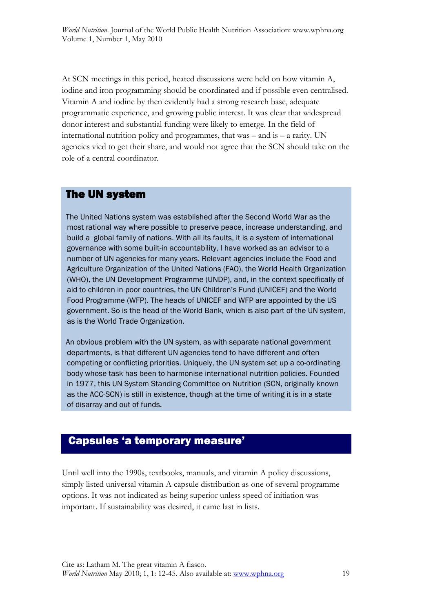At SCN meetings in this period, heated discussions were held on how vitamin A, iodine and iron programming should be coordinated and if possible even centralised. Vitamin A and iodine by then evidently had a strong research base, adequate programmatic experience, and growing public interest. It was clear that widespread donor interest and substantial funding were likely to emerge. In the field of international nutrition policy and programmes, that was  $-$  and is  $-$  a rarity. UN agencies vied to get their share, and would not agree that the SCN should take on the role of a central coordinator.

## The UN system

 The United Nations system was established after the Second World War as the most rational way where possible to preserve peace, increase understanding, and build a global family of nations. With all its faults, it is a system of international governance with some built-in accountability, I have worked as an advisor to a number of UN agencies for many years. Relevant agencies include the Food and Agriculture Organization of the United Nations (FAO), the World Health Organization (WHO), the UN Development Programme (UNDP), and, in the context specifically of aid to children in poor countries, the UN Children's Fund (UNICEF) and the World Food Programme (WFP). The heads of UNICEF and WFP are appointed by the US government. So is the head of the World Bank, which is also part of the UN system, as is the World Trade Organization.

 An obvious problem with the UN system, as with separate national government departments, is that different UN agencies tend to have different and often competing or conflicting priorities. Uniquely, the UN system set up a co-ordinating body whose task has been to harmonise international nutrition policies. Founded in 1977, this UN System Standing Committee on Nutrition (SCN, originally known as the ACC-SCN) is still in existence, though at the time of writing it is in a state of disarray and out of funds.

## Capsules 'a temporary measure'

Until well into the 1990s, textbooks, manuals, and vitamin A policy discussions, simply listed universal vitamin A capsule distribution as one of several programme options. It was not indicated as being superior unless speed of initiation was important. If sustainability was desired, it came last in lists.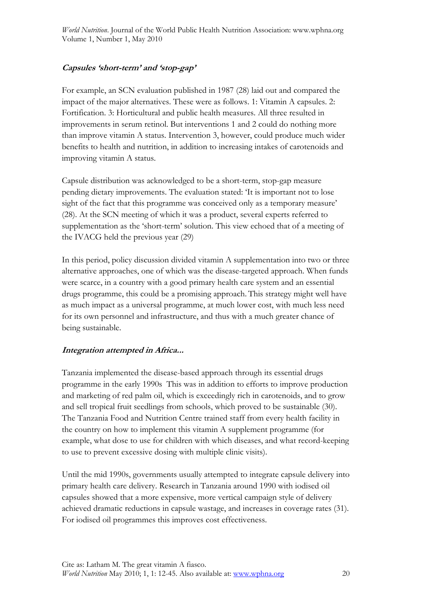#### **Capsules 'short-term' and 'stop-gap'**

For example, an SCN evaluation published in 1987 (28) laid out and compared the impact of the major alternatives. These were as follows. 1: Vitamin A capsules. 2: Fortification. 3: Horticultural and public health measures. All three resulted in improvements in serum retinol. But interventions 1 and 2 could do nothing more than improve vitamin A status. Intervention 3, however, could produce much wider benefits to health and nutrition, in addition to increasing intakes of carotenoids and improving vitamin A status.

Capsule distribution was acknowledged to be a short-term, stop-gap measure pending dietary improvements. The evaluation stated: 'It is important not to lose sight of the fact that this programme was conceived only as a temporary measure' (28). At the SCN meeting of which it was a product, several experts referred to supplementation as the 'short-term' solution. This view echoed that of a meeting of the IVACG held the previous year (29)

In this period, policy discussion divided vitamin A supplementation into two or three alternative approaches, one of which was the disease-targeted approach. When funds were scarce, in a country with a good primary health care system and an essential drugs programme, this could be a promising approach. This strategy might well have as much impact as a universal programme, at much lower cost, with much less need for its own personnel and infrastructure, and thus with a much greater chance of being sustainable.

#### **Integration attempted in Africa...**

Tanzania implemented the disease-based approach through its essential drugs programme in the early 1990s This was in addition to efforts to improve production and marketing of red palm oil, which is exceedingly rich in carotenoids, and to grow and sell tropical fruit seedlings from schools, which proved to be sustainable (30). The Tanzania Food and Nutrition Centre trained staff from every health facility in the country on how to implement this vitamin A supplement programme (for example, what dose to use for children with which diseases, and what record-keeping to use to prevent excessive dosing with multiple clinic visits).

Until the mid 1990s, governments usually attempted to integrate capsule delivery into primary health care delivery. Research in Tanzania around 1990 with iodised oil capsules showed that a more expensive, more vertical campaign style of delivery achieved dramatic reductions in capsule wastage, and increases in coverage rates (31). For iodised oil programmes this improves cost effectiveness.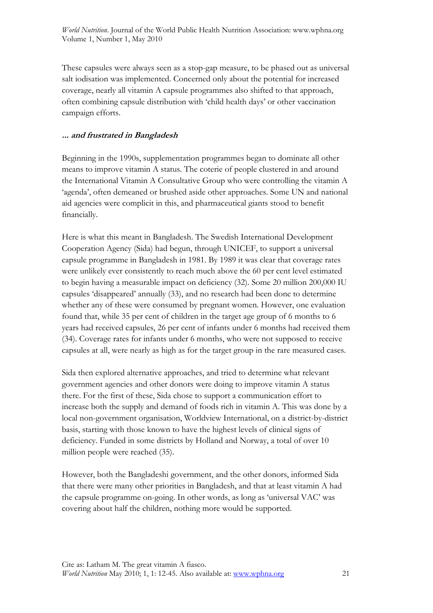These capsules were always seen as a stop-gap measure, to be phased out as universal salt iodisation was implemented. Concerned only about the potential for increased coverage, nearly all vitamin A capsule programmes also shifted to that approach, often combining capsule distribution with 'child health days' or other vaccination campaign efforts.

#### **... and frustrated in Bangladesh**

Beginning in the 1990s, supplementation programmes began to dominate all other means to improve vitamin A status. The coterie of people clustered in and around the International Vitamin A Consultative Group who were controlling the vitamin A 'agenda', often demeaned or brushed aside other approaches. Some UN and national aid agencies were complicit in this, and pharmaceutical giants stood to benefit financially.

Here is what this meant in Bangladesh. The Swedish International Development Cooperation Agency (Sida) had begun, through UNICEF, to support a universal capsule programme in Bangladesh in 1981. By 1989 it was clear that coverage rates were unlikely ever consistently to reach much above the 60 per cent level estimated to begin having a measurable impact on deficiency (32). Some 20 million 200,000 IU capsules 'disappeared' annually (33), and no research had been done to determine whether any of these were consumed by pregnant women. However, one evaluation found that, while 35 per cent of children in the target age group of 6 months to 6 years had received capsules, 26 per cent of infants under 6 months had received them (34). Coverage rates for infants under 6 months, who were not supposed to receive capsules at all, were nearly as high as for the target group in the rare measured cases.

Sida then explored alternative approaches, and tried to determine what relevant government agencies and other donors were doing to improve vitamin A status there. For the first of these, Sida chose to support a communication effort to increase both the supply and demand of foods rich in vitamin A. This was done by a local non-government organisation, Worldview International, on a district-by-district basis, starting with those known to have the highest levels of clinical signs of deficiency. Funded in some districts by Holland and Norway, a total of over 10 million people were reached (35).

However, both the Bangladeshi government, and the other donors, informed Sida that there were many other priorities in Bangladesh, and that at least vitamin A had the capsule programme on-going. In other words, as long as 'universal VAC' was covering about half the children, nothing more would be supported.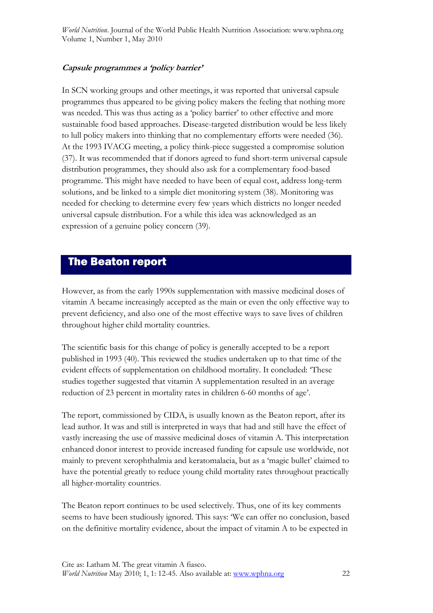#### **Capsule programmes a 'policy barrier'**

In SCN working groups and other meetings, it was reported that universal capsule programmes thus appeared to be giving policy makers the feeling that nothing more was needed. This was thus acting as a 'policy barrier' to other effective and more sustainable food based approaches. Disease-targeted distribution would be less likely to lull policy makers into thinking that no complementary efforts were needed (36). At the 1993 IVACG meeting, a policy think-piece suggested a compromise solution (37). It was recommended that if donors agreed to fund short-term universal capsule distribution programmes, they should also ask for a complementary food-based programme. This might have needed to have been of equal cost, address long-term solutions, and be linked to a simple diet monitoring system (38). Monitoring was needed for checking to determine every few years which districts no longer needed universal capsule distribution. For a while this idea was acknowledged as an expression of a genuine policy concern (39).

## The Beaton report

However, as from the early 1990s supplementation with massive medicinal doses of vitamin A became increasingly accepted as the main or even the only effective way to prevent deficiency, and also one of the most effective ways to save lives of children throughout higher child mortality countries.

The scientific basis for this change of policy is generally accepted to be a report published in 1993 (40). This reviewed the studies undertaken up to that time of the evident effects of supplementation on childhood mortality. It concluded: 'These studies together suggested that vitamin A supplementation resulted in an average reduction of 23 percent in mortality rates in children 6-60 months of age'.

The report, commissioned by CIDA, is usually known as the Beaton report, after its lead author. It was and still is interpreted in ways that had and still have the effect of vastly increasing the use of massive medicinal doses of vitamin A. This interpretation enhanced donor interest to provide increased funding for capsule use worldwide, not mainly to prevent xerophthalmia and keratomalacia, but as a 'magic bullet' claimed to have the potential greatly to reduce young child mortality rates throughout practically all higher-mortality countries.

The Beaton report continues to be used selectively. Thus, one of its key comments seems to have been studiously ignored. This says: 'We can offer no conclusion, based on the definitive mortality evidence, about the impact of vitamin A to be expected in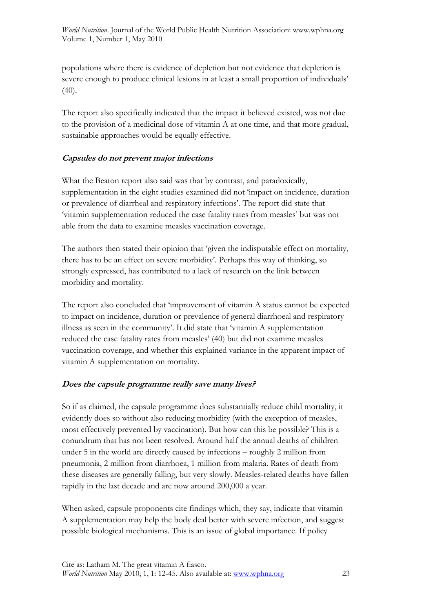populations where there is evidence of depletion but not evidence that depletion is severe enough to produce clinical lesions in at least a small proportion of individuals' (40).

The report also specifically indicated that the impact it believed existed, was not due to the provision of a medicinal dose of vitamin A at one time, and that more gradual, sustainable approaches would be equally effective.

#### **Capsules do not prevent major infections**

What the Beaton report also said was that by contrast, and paradoxically, supplementation in the eight studies examined did not 'impact on incidence, duration or prevalence of diarrheal and respiratory infections'. The report did state that 'vitamin supplementation reduced the case fatality rates from measles' but was not able from the data to examine measles vaccination coverage.

The authors then stated their opinion that 'given the indisputable effect on mortality, there has to be an effect on severe morbidity'. Perhaps this way of thinking, so strongly expressed, has contributed to a lack of research on the link between morbidity and mortality.

The report also concluded that 'improvement of vitamin A status cannot be expected to impact on incidence, duration or prevalence of general diarrhoeal and respiratory illness as seen in the community'. It did state that 'vitamin A supplementation reduced the case fatality rates from measles' (40) but did not examine measles vaccination coverage, and whether this explained variance in the apparent impact of vitamin A supplementation on mortality.

#### **Does the capsule programme really save many lives?**

So if as claimed, the capsule programme does substantially reduce child mortality, it evidently does so without also reducing morbidity (with the exception of measles, most effectively prevented by vaccination). But how can this be possible? This is a conundrum that has not been resolved. Around half the annual deaths of children under 5 in the world are directly caused by infections – roughly 2 million from pneumonia, 2 million from diarrhoea, 1 million from malaria. Rates of death from these diseases are generally falling, but very slowly. Measles-related deaths have fallen rapidly in the last decade and are now around 200,000 a year.

When asked, capsule proponents cite findings which, they say, indicate that vitamin A supplementation may help the body deal better with severe infection, and suggest possible biological mechanisms. This is an issue of global importance. If policy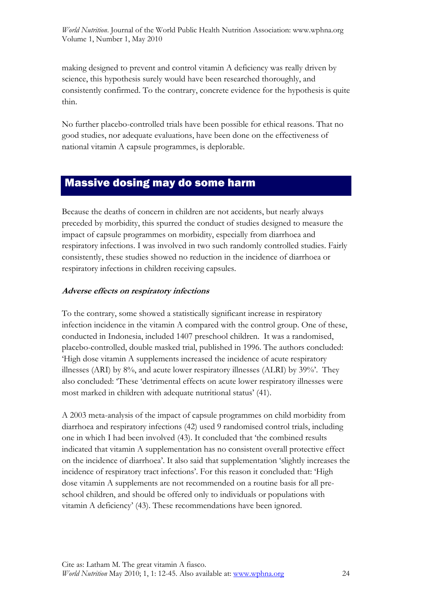making designed to prevent and control vitamin A deficiency was really driven by science, this hypothesis surely would have been researched thoroughly, and consistently confirmed. To the contrary, concrete evidence for the hypothesis is quite thin.

No further placebo-controlled trials have been possible for ethical reasons. That no good studies, nor adequate evaluations, have been done on the effectiveness of national vitamin A capsule programmes, is deplorable.

## Massive dosing may do some harm

Because the deaths of concern in children are not accidents, but nearly always preceded by morbidity, this spurred the conduct of studies designed to measure the impact of capsule programmes on morbidity, especially from diarrhoea and respiratory infections. I was involved in two such randomly controlled studies. Fairly consistently, these studies showed no reduction in the incidence of diarrhoea or respiratory infections in children receiving capsules.

#### **Adverse effects on respiratory infections**

To the contrary, some showed a statistically significant increase in respiratory infection incidence in the vitamin A compared with the control group. One of these, conducted in Indonesia, included 1407 preschool children. It was a randomised, placebo-controlled, double masked trial, published in 1996. The authors concluded: 'High dose vitamin A supplements increased the incidence of acute respiratory illnesses (ARI) by 8%, and acute lower respiratory illnesses (ALRI) by 39%'. They also concluded: 'These 'detrimental effects on acute lower respiratory illnesses were most marked in children with adequate nutritional status' (41).

A 2003 meta-analysis of the impact of capsule programmes on child morbidity from diarrhoea and respiratory infections (42) used 9 randomised control trials, including one in which I had been involved (43). It concluded that 'the combined results indicated that vitamin A supplementation has no consistent overall protective effect on the incidence of diarrhoea'. It also said that supplementation 'slightly increases the incidence of respiratory tract infections'. For this reason it concluded that: 'High dose vitamin A supplements are not recommended on a routine basis for all preschool children, and should be offered only to individuals or populations with vitamin A deficiency' (43). These recommendations have been ignored.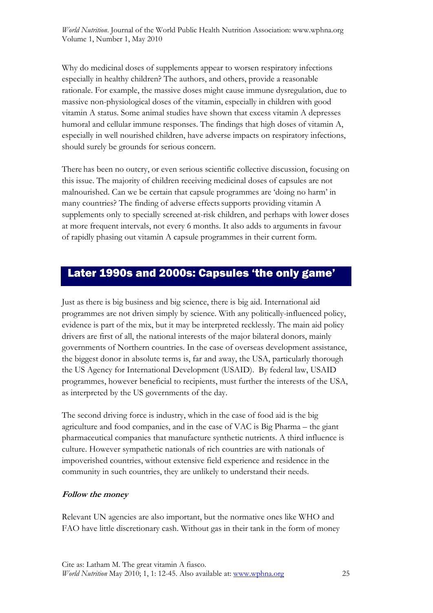Why do medicinal doses of supplements appear to worsen respiratory infections especially in healthy children? The authors, and others, provide a reasonable rationale. For example, the massive doses might cause immune dysregulation, due to massive non-physiological doses of the vitamin, especially in children with good vitamin A status. Some animal studies have shown that excess vitamin A depresses humoral and cellular immune responses. The findings that high doses of vitamin A, especially in well nourished children, have adverse impacts on respiratory infections, should surely be grounds for serious concern.

There has been no outcry, or even serious scientific collective discussion, focusing on this issue. The majority of children receiving medicinal doses of capsules are not malnourished. Can we be certain that capsule programmes are 'doing no harm' in many countries? The finding of adverse effects supports providing vitamin A supplements only to specially screened at-risk children, and perhaps with lower doses at more frequent intervals, not every 6 months. It also adds to arguments in favour of rapidly phasing out vitamin A capsule programmes in their current form.

## Later 1990s and 2000s: Capsules 'the only game'

Just as there is big business and big science, there is big aid. International aid programmes are not driven simply by science. With any politically-influenced policy, evidence is part of the mix, but it may be interpreted recklessly. The main aid policy drivers are first of all, the national interests of the major bilateral donors, mainly governments of Northern countries. In the case of overseas development assistance, the biggest donor in absolute terms is, far and away, the USA, particularly thorough the US Agency for International Development (USAID). By federal law, USAID programmes, however beneficial to recipients, must further the interests of the USA, as interpreted by the US governments of the day.

The second driving force is industry, which in the case of food aid is the big agriculture and food companies, and in the case of VAC is Big Pharma – the giant pharmaceutical companies that manufacture synthetic nutrients. A third influence is culture. However sympathetic nationals of rich countries are with nationals of impoverished countries, without extensive field experience and residence in the community in such countries, they are unlikely to understand their needs.

#### **Follow the money**

Relevant UN agencies are also important, but the normative ones like WHO and FAO have little discretionary cash. Without gas in their tank in the form of money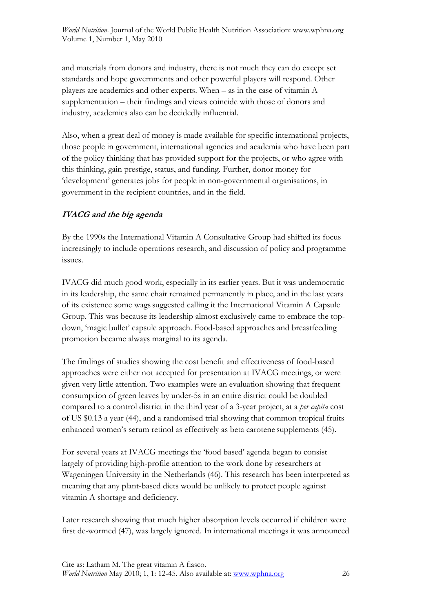and materials from donors and industry, there is not much they can do except set standards and hope governments and other powerful players will respond. Other players are academics and other experts. When – as in the case of vitamin A supplementation – their findings and views coincide with those of donors and industry, academics also can be decidedly influential.

Also, when a great deal of money is made available for specific international projects, those people in government, international agencies and academia who have been part of the policy thinking that has provided support for the projects, or who agree with this thinking, gain prestige, status, and funding. Further, donor money for 'development' generates jobs for people in non-governmental organisations, in government in the recipient countries, and in the field.

#### **IVACG and the big agenda**

By the 1990s the International Vitamin A Consultative Group had shifted its focus increasingly to include operations research, and discussion of policy and programme issues.

IVACG did much good work, especially in its earlier years. But it was undemocratic in its leadership, the same chair remained permanently in place, and in the last years of its existence some wagssuggested calling it the International Vitamin A Capsule Group. This was because its leadership almost exclusively came to embrace the topdown, 'magic bullet' capsule approach. Food-based approaches and breastfeeding promotion became always marginal to its agenda.

The findings of studies showing the cost benefit and effectiveness of food-based approaches were either not accepted for presentation at IVACG meetings, or were given very little attention. Two examples were an evaluation showing that frequent consumption of green leaves by under-5s in an entire district could be doubled compared to a control district in the third year of a 3-year project, at a *per capita* cost of US \$0.13 a year (44), and a randomised trial showing that common tropical fruits enhanced women's serum retinol as effectively as beta carotene supplements (45).

For several years at IVACG meetings the 'food based' agenda began to consist largely of providing high-profile attention to the work done by researchers at Wageningen University in the Netherlands (46). This research has been interpreted as meaning that any plant-based diets would be unlikely to protect people against vitamin A shortage and deficiency.

Later research showing that much higher absorption levels occurred if children were first de-wormed (47), was largely ignored. In international meetings it was announced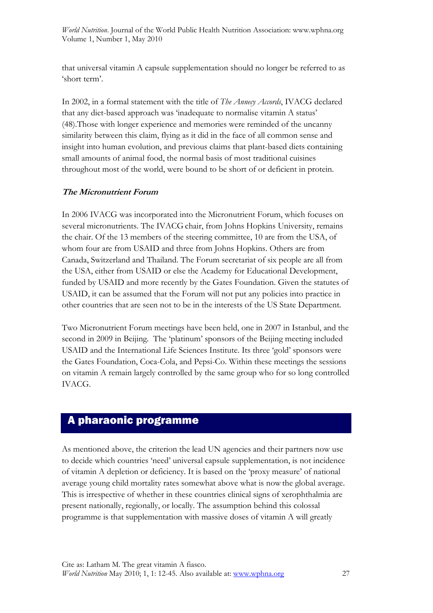that universal vitamin A capsule supplementation should no longer be referred to as 'short term'.

In 2002, in a formal statement with the title of *The Annecy Accords*, IVACG declared that any diet-based approach was 'inadequate to normalise vitamin A status' (48).Those with longer experience and memories were reminded of the uncanny similarity between this claim, flying as it did in the face of all common sense and insight into human evolution, and previous claims that plant-based diets containing small amounts of animal food, the normal basis of most traditional cuisines throughout most of the world, were bound to be short of or deficient in protein.

#### **The Micronutrient Forum**

In 2006 IVACG was incorporated into the Micronutrient Forum, which focuses on several micronutrients. The IVACG chair, from Johns Hopkins University, remains the chair. Of the 13 members of the steering committee, 10 are from the USA, of whom four are from USAID and three from Johns Hopkins. Others are from Canada, Switzerland and Thailand. The Forum secretariat of six people are all from the USA, either from USAID or else the Academy for Educational Development, funded by USAID and more recently by the Gates Foundation. Given the statutes of USAID, it can be assumed that the Forum will not put any policies into practice in other countries that are seen not to be in the interests of the US State Department.

Two Micronutrient Forum meetings have been held, one in 2007 in Istanbul, and the second in 2009 in Beijing. The 'platinum' sponsors of the Beijing meeting included USAID and the International Life Sciences Institute. Its three 'gold' sponsors were the Gates Foundation, Coca-Cola, and Pepsi-Co. Within these meetings the sessions on vitamin A remain largely controlled by the same group who for so long controlled IVACG.

## A pharaonic programme

As mentioned above, the criterion the lead UN agencies and their partners now use to decide which countries 'need' universal capsule supplementation, is not incidence of vitamin A depletion or deficiency. It is based on the 'proxy measure' of national average young child mortality rates somewhat above what is nowthe global average. This is irrespective of whether in these countries clinical signs of xerophthalmia are present nationally, regionally, or locally. The assumption behind this colossal programme is that supplementation with massive doses of vitamin A will greatly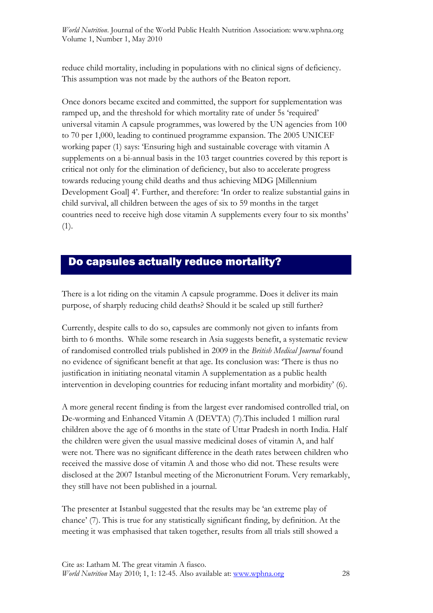reduce child mortality, including in populations with no clinical signs of deficiency. This assumption was not made by the authors of the Beaton report.

Once donors became excited and committed, the support for supplementation was ramped up, and the threshold for which mortality rate of under 5s 'required' universal vitamin A capsule programmes, was lowered by the UN agencies from 100 to 70 per 1,000, leading to continued programme expansion. The 2005 UNICEF working paper (1) says: 'Ensuring high and sustainable coverage with vitamin A supplements on a bi-annual basis in the 103 target countries covered by this report is critical not only for the elimination of deficiency, but also to accelerate progress towards reducing young child deaths and thus achieving MDG [Millennium Development Goal] 4'. Further, and therefore: 'In order to realize substantial gains in child survival, all children between the ages of six to 59 months in the target countries need to receive high dose vitamin A supplements every four to six months' (1).

## Do capsules actually reduce mortality?

There is a lot riding on the vitamin A capsule programme. Does it deliver its main purpose, of sharply reducing child deaths? Should it be scaled up still further?

Currently, despite calls to do so, capsules are commonly not given to infants from birth to 6 months. While some research in Asia suggests benefit, a systematic review of randomised controlled trials published in 2009 in the *British Medical Journal* found no evidence of significant benefit at that age. Its conclusion was: 'There is thus no justification in initiating neonatal vitamin A supplementation as a public health intervention in developing countries for reducing infant mortality and morbidity' (6).

A more general recent finding is from the largest ever randomised controlled trial, on De-worming and Enhanced Vitamin A (DEVTA) (7).This included 1 million rural children above the age of 6 months in the state of Uttar Pradesh in north India. Half the children were given the usual massive medicinal doses of vitamin A, and half were not. There was no significant difference in the death rates between children who received the massive dose of vitamin A and those who did not. These results were disclosed at the 2007 Istanbul meeting of the Micronutrient Forum. Very remarkably, they still have not been published in a journal.

The presenter at Istanbul suggested that the results may be 'an extreme play of chance' (7). This is true for any statistically significant finding, by definition. At the meeting it was emphasised that taken together, results from all trials still showed a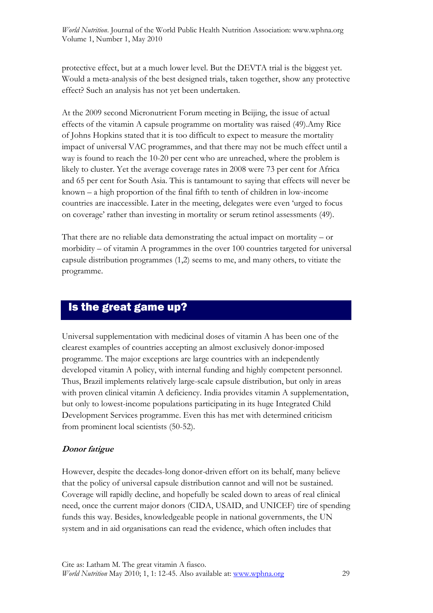protective effect, but at a much lower level. But the DEVTA trial is the biggest yet. Would a meta-analysis of the best designed trials, taken together, show any protective effect? Such an analysis has not yet been undertaken.

At the 2009 second Micronutrient Forum meeting in Beijing, the issue of actual effects of the vitamin A capsule programme on mortality was raised (49).Amy Rice of Johns Hopkins stated that it is too difficult to expect to measure the mortality impact of universal VAC programmes, and that there may not be much effect until a way is found to reach the 10-20 per cent who are unreached, where the problem is likely to cluster. Yet the average coverage rates in 2008 were 73 per cent for Africa and 65 per cent for South Asia. This is tantamount to saying that effects will never be known – a high proportion of the final fifth to tenth of children in low-income countries are inaccessible. Later in the meeting, delegates were even 'urged to focus on coverage' rather than investing in mortality or serum retinol assessments (49).

That there are no reliable data demonstrating the actual impact on mortality  $-$  or morbidity – of vitamin A programmes in the over 100 countries targeted for universal capsule distribution programmes (1,2) seems to me, and many others, to vitiate the programme.

## Is the great game up?

Universal supplementation with medicinal doses of vitamin A has been one of the clearest examples of countries accepting an almost exclusively donor-imposed programme. The major exceptions are large countries with an independently developed vitamin A policy, with internal funding and highly competent personnel. Thus, Brazil implements relatively large-scale capsule distribution, but only in areas with proven clinical vitamin A deficiency. India provides vitamin A supplementation, but only to lowest-income populations participating in its huge Integrated Child Development Services programme. Even this has met with determined criticism from prominent local scientists (50-52).

#### **Donor fatigue**

However, despite the decades-long donor-driven effort on its behalf, many believe that the policy of universal capsule distribution cannot and will not be sustained. Coverage will rapidly decline, and hopefully be scaled down to areas of real clinical need, once the current major donors (CIDA, USAID, and UNICEF) tire of spending funds this way. Besides, knowledgeable people in national governments, the UN system and in aid organisations can read the evidence, which often includes that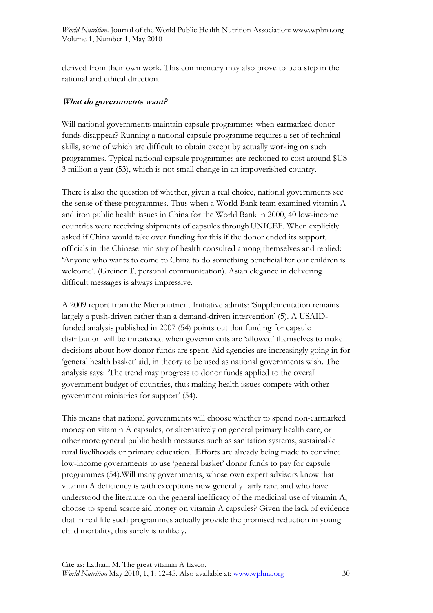derived from their own work. This commentary may also prove to be a step in the rational and ethical direction.

#### **What do governments want?**

Will national governments maintain capsule programmes when earmarked donor funds disappear? Running a national capsule programme requires a set of technical skills, some of which are difficult to obtain except by actually working on such programmes. Typical national capsule programmes are reckoned to cost around \$US 3 million a year (53), which is not small change in an impoverished country.

There is also the question of whether, given a real choice, national governments see the sense of these programmes. Thus when a World Bank team examined vitamin A and iron public health issues in China for the World Bank in 2000, 40 low-income countries were receiving shipments of capsules through UNICEF. When explicitly asked if China would take over funding for this if the donor ended its support, officials in the Chinese ministry of health consulted among themselves and replied: 'Anyone who wants to come to China to do something beneficial for our children is welcome'. (Greiner T, personal communication). Asian elegance in delivering difficult messages is always impressive.

A 2009 report from the Micronutrient Initiative admits: 'Supplementation remains largely a push-driven rather than a demand-driven intervention' (5). A USAIDfunded analysis published in 2007 (54) points out that funding for capsule distribution will be threatened when governments are 'allowed' themselves to make decisions about how donor funds are spent. Aid agencies are increasingly going in for 'general health basket' aid, in theory to be used as national governments wish. The analysis says: 'The trend may progress to donor funds applied to the overall government budget of countries, thus making health issues compete with other government ministries for support' (54).

This means that national governments will choose whether to spend non-earmarked money on vitamin A capsules, or alternatively on general primary health care, or other more general public health measures such as sanitation systems, sustainable rural livelihoods or primary education. Efforts are already being made to convince low-income governments to use 'general basket' donor funds to pay for capsule programmes (54).Will many governments, whose own expert advisors know that vitamin A deficiency is with exceptions now generally fairly rare, and who have understood the literature on the general inefficacy of the medicinal use of vitamin A, choose to spend scarce aid money on vitamin A capsules? Given the lack of evidence that in real life such programmes actually provide the promised reduction in young child mortality, this surely is unlikely.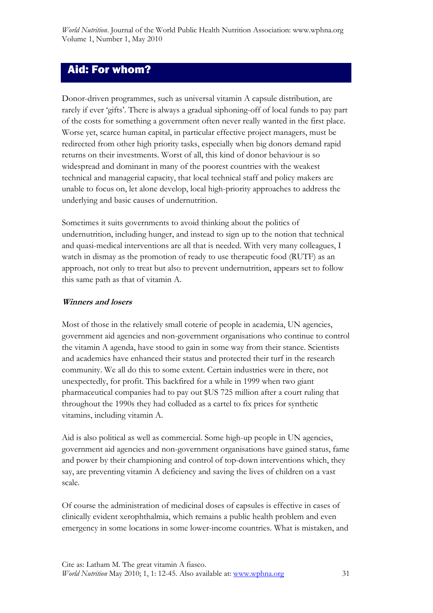## Aid: For whom?

Donor-driven programmes, such as universal vitamin A capsule distribution, are rarely if ever 'gifts'. There is always a gradual siphoning-off of local funds to pay part of the costs for something a government often never really wanted in the first place. Worse yet, scarce human capital, in particular effective project managers, must be redirected from other high priority tasks, especially when big donors demand rapid returns on their investments. Worst of all, this kind of donor behaviour is so widespread and dominant in many of the poorest countries with the weakest technical and managerial capacity, that local technical staff and policy makers are unable to focus on, let alone develop, local high-priority approaches to address the underlying and basic causes of undernutrition.

Sometimes it suits governments to avoid thinking about the politics of undernutrition, including hunger, and instead to sign up to the notion that technical and quasi-medical interventions are all that is needed. With very many colleagues, I watch in dismay as the promotion of ready to use therapeutic food (RUTF) as an approach, not only to treat but also to prevent undernutrition, appears set to follow this same path as that of vitamin A.

#### **Winners and losers**

Most of those in the relatively small coterie of people in academia, UN agencies, government aid agencies and non-government organisations who continue to control the vitamin A agenda, have stood to gain in some way from their stance. Scientists and academics have enhanced their status and protected their turf in the research community. We all do this to some extent. Certain industries were in there, not unexpectedly, for profit. This backfired for a while in 1999 when two giant pharmaceutical companies had to pay out \$US 725 million after a court ruling that throughout the 1990s they had colluded as a cartel to fix prices for synthetic vitamins, including vitamin A.

Aid is also political as well as commercial. Some high-up people in UN agencies, government aid agencies and non-government organisations have gained status, fame and power by their championing and control of top-down interventions which, they say, are preventing vitamin A deficiency and saving the lives of children on a vast scale.

Of course the administration of medicinal doses of capsules is effective in cases of clinically evident xerophthalmia, which remains a public health problem and even emergency in some locations in some lower-income countries. What is mistaken, and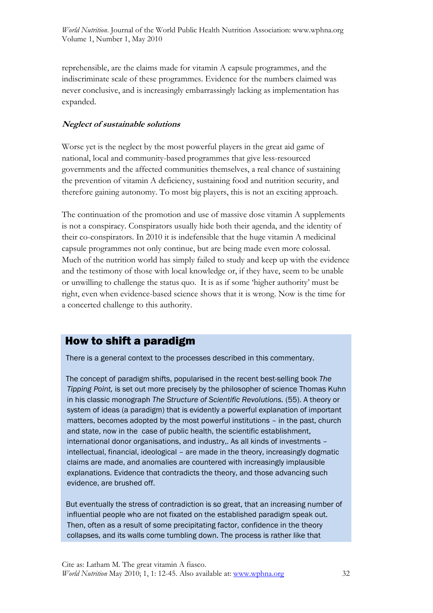reprehensible, are the claims made for vitamin A capsule programmes, and the indiscriminate scale of these programmes. Evidence for the numbers claimed was never conclusive, and is increasingly embarrassingly lacking as implementation has expanded.

#### **Neglect of sustainable solutions**

Worse yet is the neglect by the most powerful players in the great aid game of national, local and community-based programmes that give less-resourced governments and the affected communities themselves, a real chance of sustaining the prevention of vitamin A deficiency, sustaining food and nutrition security, and therefore gaining autonomy. To most big players, this is not an exciting approach.

The continuation of the promotion and use of massive dose vitamin A supplements is not a conspiracy. Conspirators usually hide both their agenda, and the identity of their co-conspirators. In 2010 it is indefensible that the huge vitamin A medicinal capsule programmes not only continue, but are being made even more colossal. Much of the nutrition world has simply failed to study and keep up with the evidence and the testimony of those with local knowledge or, if they have, seem to be unable or unwilling to challenge the status quo. It is as if some 'higher authority' must be right, even when evidence-based science shows that it is wrong. Now is the time for a concerted challenge to this authority.

## How to shift a paradigm

There is a general context to the processes described in this commentary.

 The concept of paradigm shifts, popularised in the recent best-selling book *The Tipping Point,* is set out more precisely by the philosopher of science Thomas Kuhn in his classic monograph *The Structure of Scientific Revolutions.* (55). A theory or system of ideas (a paradigm) that is evidently a powerful explanation of important matters, becomes adopted by the most powerful institutions – in the past, church and state, now in the case of public health, the scientific establishment, international donor organisations, and industry,. As all kinds of investments – intellectual, financial, ideological – are made in the theory, increasingly dogmatic claims are made, and anomalies are countered with increasingly implausible explanations. Evidence that contradicts the theory, and those advancing such evidence, are brushed off.

 But eventually the stress of contradiction is so great, that an increasing number of influential people who are not fixated on the established paradigm speak out. Then, often as a result of some precipitating factor, confidence in the theory collapses, and its walls come tumbling down. The process is rather like that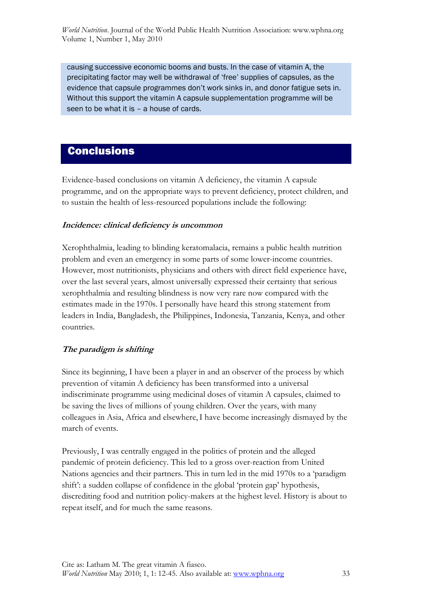causing successive economic booms and busts. In the case of vitamin A, the precipitating factor may well be withdrawal of 'free' supplies of capsules, as the evidence that capsule programmes don't work sinks in, and donor fatigue sets in. Without this support the vitamin A capsule supplementation programme will be seen to be what it is – a house of cards.

## **Conclusions**

Evidence-based conclusions on vitamin A deficiency, the vitamin A capsule programme, and on the appropriate ways to prevent deficiency, protect children, and to sustain the health of less-resourced populations include the following:

#### **Incidence: clinical deficiency is uncommon**

Xerophthalmia, leading to blinding keratomalacia, remains a public health nutrition problem and even an emergency in some parts of some lower-income countries. However, most nutritionists, physicians and others with direct field experience have, over the last several years, almost universally expressed their certainty that serious xerophthalmia and resulting blindness is now very rare now compared with the estimates made in the 1970s. I personally have heard this strong statement from leaders in India, Bangladesh, the Philippines, Indonesia, Tanzania, Kenya, and other countries.

#### **The paradigm is shifting**

Since its beginning, I have been a player in and an observer of the process by which prevention of vitamin A deficiency has been transformed into a universal indiscriminate programme using medicinal doses of vitamin A capsules, claimed to be saving the lives of millions of young children. Over the years, with many colleagues in Asia, Africa and elsewhere,I have become increasingly dismayed by the march of events.

Previously, I was centrally engaged in the politics of protein and the alleged pandemic of protein deficiency. This led to a gross over-reaction from United Nations agencies and their partners. This in turn led in the mid 1970s to a 'paradigm shift': a sudden collapse of confidence in the global 'protein gap' hypothesis, discrediting food and nutrition policy-makers at the highest level. History is about to repeat itself, and for much the same reasons.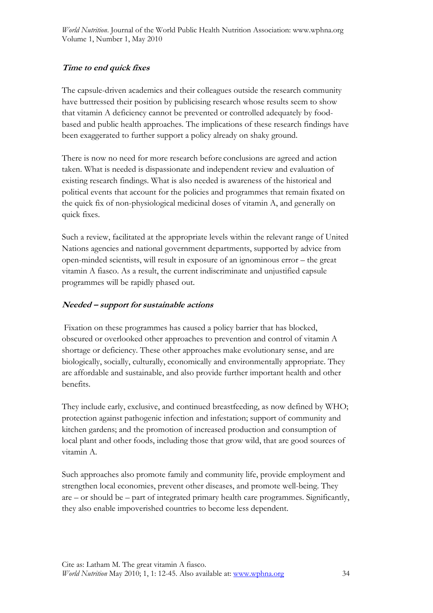#### **Time to end quick fixes**

The capsule-driven academics and their colleagues outside the research community have buttressed their position by publicising research whose results seem to show that vitamin A deficiency cannot be prevented or controlled adequately by foodbased and public health approaches. The implications of these research findings have been exaggerated to further support a policy already on shaky ground.

There is now no need for more research before conclusions are agreed and action taken. What is needed is dispassionate and independent review and evaluation of existing research findings. What is also needed is awareness of the historical and political events that account for the policies and programmes that remain fixated on the quick fix of non-physiological medicinal doses of vitamin A, and generally on quick fixes.

Such a review, facilitated at the appropriate levels within the relevant range of United Nations agencies and national government departments, supported by advice from open-minded scientists, will result in exposure of an ignominous error – the great vitamin A fiasco. As a result, the current indiscriminate and unjustified capsule programmes will be rapidly phased out.

#### **Needed – support for sustainable actions**

 Fixation on these programmes has caused a policy barrier that has blocked, obscured or overlooked other approaches to prevention and control of vitamin A shortage or deficiency. These other approaches make evolutionary sense, and are biologically, socially, culturally, economically and environmentally appropriate. They are affordable and sustainable, and also provide further important health and other benefits.

They include early, exclusive, and continued breastfeeding, as now defined by WHO; protection against pathogenic infection and infestation; support of community and kitchen gardens; and the promotion of increased production and consumption of local plant and other foods, including those that grow wild, that are good sources of vitamin A.

Such approaches also promote family and community life, provide employment and strengthen local economies, prevent other diseases, and promote well-being. They are – or should be – part of integrated primary health care programmes. Significantly, they also enable impoverished countries to become less dependent.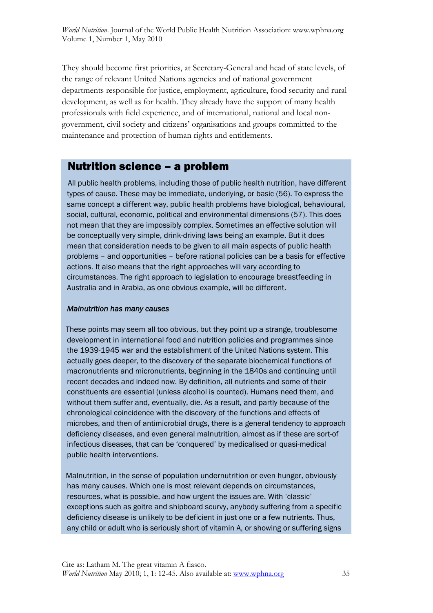They should become first priorities, at Secretary-General and head of state levels, of the range of relevant United Nations agencies and of national government departments responsible for justice, employment, agriculture, food security and rural development, as well as for health. They already have the support of many health professionals with field experience, and of international, national and local nongovernment, civil society and citizens' organisations and groups committed to the maintenance and protection of human rights and entitlements.

## Nutrition science – a problem

 All public health problems, including those of public health nutrition, have different types of cause. These may be immediate, underlying, or basic (56). To express the same concept a different way, public health problems have biological, behavioural, social, cultural, economic, political and environmental dimensions (57). This does not mean that they are impossibly complex. Sometimes an effective solution will be conceptually very simple, drink-driving laws being an example. But it does mean that consideration needs to be given to all main aspects of public health problems – and opportunities – before rational policies can be a basis for effective actions. It also means that the right approaches will vary according to circumstances. The right approach to legislation to encourage breastfeeding in Australia and in Arabia, as one obvious example, will be different.

#### *Malnutrition has many causes*

 These points may seem all too obvious, but they point up a strange, troublesome development in international food and nutrition policies and programmes since the 1939-1945 war and the establishment of the United Nations system. This actually goes deeper, to the discovery of the separate biochemical functions of macronutrients and micronutrients, beginning in the 1840s and continuing until recent decades and indeed now. By definition, all nutrients and some of their constituents are essential (unless alcohol is counted). Humans need them, and without them suffer and, eventually, die. As a result, and partly because of the chronological coincidence with the discovery of the functions and effects of microbes, and then of antimicrobial drugs, there is a general tendency to approach deficiency diseases, and even general malnutrition, almost as if these are sort-of infectious diseases, that can be 'conquered' by medicalised or quasi-medical public health interventions.

 Malnutrition, in the sense of population undernutrition or even hunger, obviously has many causes. Which one is most relevant depends on circumstances, resources, what is possible, and how urgent the issues are. With 'classic' exceptions such as goitre and shipboard scurvy, anybody suffering from a specific deficiency disease is unlikely to be deficient in just one or a few nutrients. Thus, any child or adult who is seriously short of vitamin A, or showing or suffering signs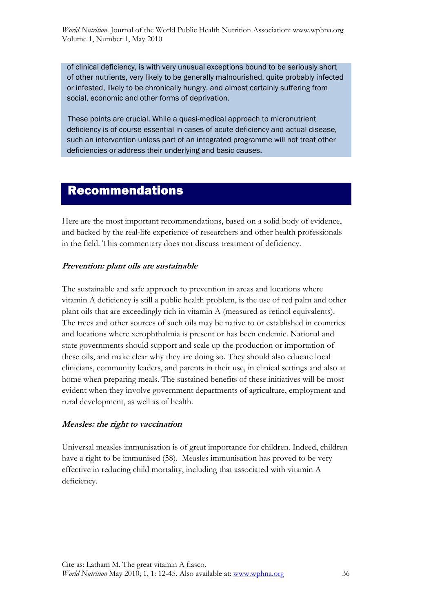of clinical deficiency, is with very unusual exceptions bound to be seriously short of other nutrients, very likely to be generally malnourished, quite probably infected or infested, likely to be chronically hungry, and almost certainly suffering from social, economic and other forms of deprivation.

 These points are crucial. While a quasi-medical approach to micronutrient deficiency is of course essential in cases of acute deficiency and actual disease, such an intervention unless part of an integrated programme will not treat other deficiencies or address their underlying and basic causes.

## Recommendations

Here are the most important recommendations, based on a solid body of evidence, and backed by the real-life experience of researchers and other health professionals in the field. This commentary does not discuss treatment of deficiency.

#### **Prevention: plant oils are sustainable**

The sustainable and safe approach to prevention in areas and locations where vitamin A deficiency is still a public health problem, is the use of red palm and other plant oils that are exceedingly rich in vitamin A (measured as retinol equivalents). The trees and other sources of such oils may be native to or established in countries and locations where xerophthalmia is present or has been endemic. National and state governments should support and scale up the production or importation of these oils, and make clear why they are doing so. They should also educate local clinicians, community leaders, and parents in their use, in clinical settings and also at home when preparing meals. The sustained benefits of these initiatives will be most evident when they involve government departments of agriculture, employment and rural development, as well as of health.

#### **Measles: the right to vaccination**

Universal measles immunisation is of great importance for children. Indeed, children have a right to be immunised (58). Measles immunisation has proved to be very effective in reducing child mortality, including that associated with vitamin A deficiency.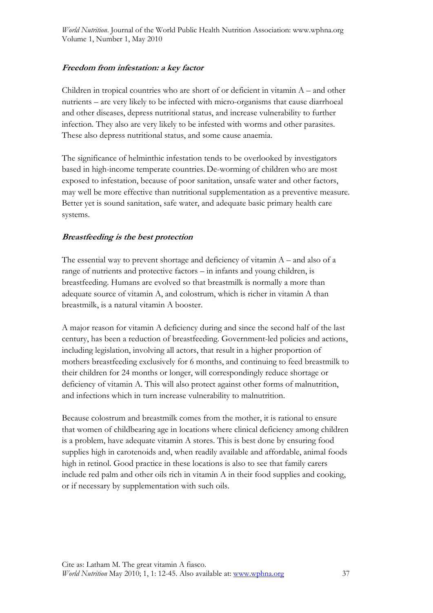#### **Freedom from infestation: a key factor**

Children in tropical countries who are short of or deficient in vitamin A – and other nutrients – are very likely to be infected with micro-organisms that cause diarrhoeal and other diseases, depress nutritional status, and increase vulnerability to further infection. They also are very likely to be infested with worms and other parasites. These also depress nutritional status, and some cause anaemia.

The significance of helminthic infestation tends to be overlooked by investigators based in high-income temperate countries. De-worming of children who are most exposed to infestation, because of poor sanitation, unsafe water and other factors, may well be more effective than nutritional supplementation as a preventive measure. Better yet is sound sanitation, safe water, and adequate basic primary health care systems.

#### **Breastfeeding is the best protection**

The essential way to prevent shortage and deficiency of vitamin  $A$  – and also of a range of nutrients and protective factors – in infants and young children, is breastfeeding. Humans are evolved so that breastmilk is normally a more than adequate source of vitamin A, and colostrum, which is richer in vitamin A than breastmilk, is a natural vitamin A booster.

A major reason for vitamin A deficiency during and since the second half of the last century, has been a reduction of breastfeeding. Government-led policies and actions, including legislation, involving all actors, that result in a higher proportion of mothers breastfeeding exclusively for 6 months, and continuing to feed breastmilk to their children for 24 months or longer, will correspondingly reduce shortage or deficiency of vitamin A. This will also protect against other forms of malnutrition, and infections which in turn increase vulnerability to malnutrition.

Because colostrum and breastmilk comes from the mother, it is rational to ensure that women of childbearing age in locations where clinical deficiency among children is a problem, have adequate vitamin A stores. This is best done by ensuring food supplies high in carotenoids and, when readily available and affordable, animal foods high in retinol. Good practice in these locations is also to see that family carers include red palm and other oils rich in vitamin A in their food supplies and cooking, or if necessary by supplementation with such oils.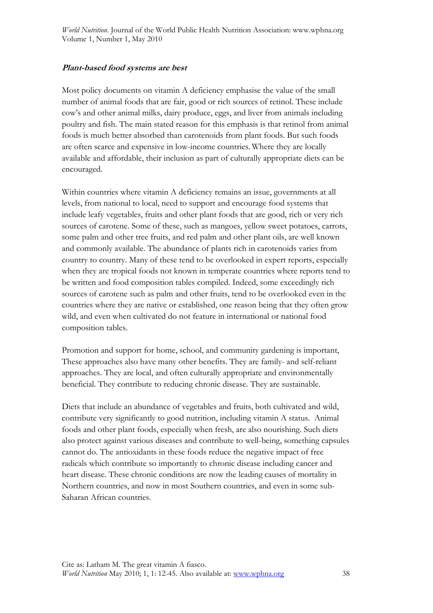#### **Plant-based food systems are best**

Most policy documents on vitamin A deficiency emphasise the value of the small number of animal foods that are fair, good or rich sources of retinol. These include cow's and other animal milks, dairy produce, eggs, and liver from animals including poultry and fish. The main stated reason for this emphasis is that retinol from animal foods is much better absorbed than carotenoids from plant foods. But such foods are often scarce and expensive in low-income countries. Where they are locally available and affordable, their inclusion as part of culturally appropriate diets can be encouraged.

Within countries where vitamin A deficiency remains an issue, governments at all levels, from national to local, need to support and encourage food systems that include leafy vegetables, fruits and other plant foods that are good, rich or very rich sources of carotene. Some of these, such as mangoes, yellow sweet potatoes, carrots, some palm and other tree fruits, and red palm and other plant oils, are well known and commonly available. The abundance of plants rich in carotenoids varies from country to country. Many of these tend to be overlooked in expert reports, especially when they are tropical foods not known in temperate countries where reports tend to be written and food composition tables compiled. Indeed, some exceedingly rich sources of carotene such as palm and other fruits, tend to be overlooked even in the countries where they are native or established, one reason being that they often grow wild, and even when cultivated do not feature in international or national food composition tables.

Promotion and support for home, school, and community gardening is important, These approaches also have many other benefits. They are family- and self-reliant approaches. They are local, and often culturally appropriate and environmentally beneficial. They contribute to reducing chronic disease. They are sustainable.

Diets that include an abundance of vegetables and fruits, both cultivated and wild, contribute very significantly to good nutrition, including vitamin A status. Animal foods and other plant foods, especially when fresh, are also nourishing. Such diets also protect against various diseases and contribute to well-being, something capsules cannot do. The antioxidants in these foods reduce the negative impact of free radicals which contribute so importantly to chronic disease including cancer and heart disease. These chronic conditions are now the leading causes of mortality in Northern countries, and now in most Southern countries, and even in some sub-Saharan African countries.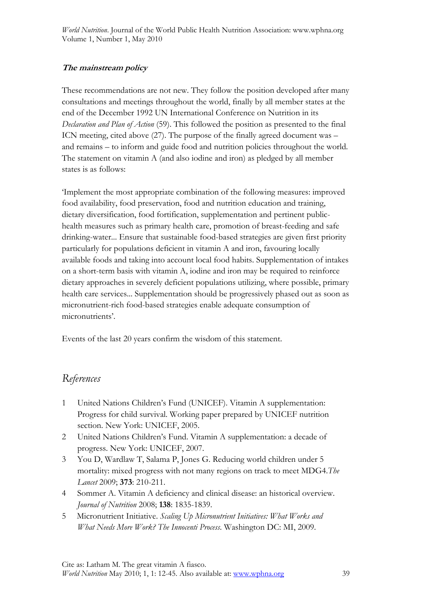#### **The mainstream policy**

These recommendations are not new. They follow the position developed after many consultations and meetings throughout the world, finally by all member states at the end of the December 1992 UN International Conference on Nutrition in its *Declaration and Plan of Action* (59). This followed the position as presented to the final ICN meeting, cited above (27). The purpose of the finally agreed document was – and remains – to inform and guide food and nutrition policies throughout the world. The statement on vitamin A (and also iodine and iron) as pledged by all member states is as follows:

'Implement the most appropriate combination of the following measures: improved food availability, food preservation, food and nutrition education and training, dietary diversification, food fortification, supplementation and pertinent publichealth measures such as primary health care, promotion of breast-feeding and safe drinking-water... Ensure that sustainable food-based strategies are given first priority particularly for populations deficient in vitamin A and iron, favouring locally available foods and taking into account local food habits. Supplementation of intakes on a short-term basis with vitamin A, iodine and iron may be required to reinforce dietary approaches in severely deficient populations utilizing, where possible, primary health care services... Supplementation should be progressively phased out as soon as micronutrient-rich food-based strategies enable adequate consumption of micronutrients'.

Events of the last 20 years confirm the wisdom of this statement.

## *References*

- 1 United Nations Children's Fund (UNICEF). Vitamin A supplementation: Progress for child survival. Working paper prepared by UNICEF nutrition section. New York: UNICEF, 2005.
- 2 United Nations Children's Fund. Vitamin A supplementation: a decade of progress. New York: UNICEF, 2007.
- 3 You D, Wardlaw T, Salama P, Jones G. Reducing world children under 5 mortality: mixed progress with not many regions on track to meet MDG4.*The Lancet* 2009; **373**: 210-211.
- 4 Sommer A. Vitamin A deficiency and clinical disease: an historical overview. *Journal of Nutrition* 2008; **138**: 1835-1839.
- 5 Micronutrient Initiative. *Scaling Up Micronutrient Initiatives: What Works and What Needs More Work? The Innocenti Process*. Washington DC: MI, 2009.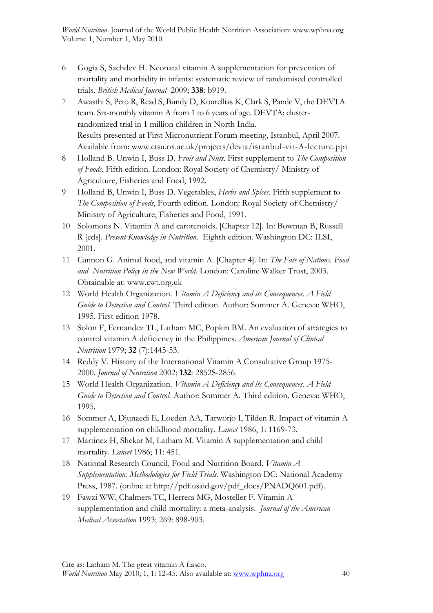- 6 Gogia S, Sachdev H. Neonatal vitamin A supplementation for prevention of mortality and morbidity in infants: systematic review of randomised controlled trials. *British Medical Journal* 2009; **338**: b919.
- 7 Awasthi S, Peto R, Read S, Bundy D, Kourellias K, Clark S, Pande V, the DEVTA team. Six-monthly vitamin A from 1 to 6 years of age. DEVTA: clusterrandomized trial in 1 million children in North India. Results presented at First Micronutrient Forum meeting, Istanbul, April 2007. Available from: www.ctsu.ox.ac.uk/projects/devta/istanbul-vit-A-lecture.ppt
- 8 Holland B. Unwin I, Buss D. *Fruit and Nuts*. First supplement to *The Composition of Foods*, Fifth edition. London: Royal Society of Chemistry/ Ministry of Agriculture, Fisheries and Food, 1992.
- 9 Holland B, Unwin I, Buss D. Vegetables, *Herbs and Spices*. Fifth supplement to  *The Composition of Foods*, Fourth edition. London: Royal Society of Chemistry/ Ministry of Agriculture, Fisheries and Food, 1991.
- 10 Solomons N. Vitamin A and carotenoids. [Chapter 12]. In: Bowman B, Russell R [eds]. *Present Knowledge in Nutrition*. Eighth edition. Washington DC: ILSI, 2001.
- 11 Cannon G. Animal food, and vitamin A. [Chapter 4]. In: *The Fate of Nations. Food and Nutrition Policy in the New World.* London: Caroline Walker Trust, 2003. Obtainable at: www.cwt.org.uk
- 12 World Health Organization. *Vitamin A Deficiency and its Consequences. A Field Guide to Detection and Control.* Third edition. Author: Sommer A. Geneva: WHO, 1995. First edition 1978.
- 13 Solon F, Fernandez TL, Latham MC, Popkin BM. An evaluation of strategies to control vitamin A deficiency in the Philippines. *American Journal of Clinical Nutrition* 1979; **32** (7):1445-53.
- 14 Reddy V. History of the International Vitamin A Consultative Group 1975- 2000. *Journal of Nutrition* 2002; **132**: 2852S-2856.
- 15 World Health Organization. *Vitamin A Deficiency and its Consequences. A Field Guide to Detection and Control.* Author: Sommer A. Third edition. Geneva: WHO, 1995.
- 16 Sommer A, Djunaedi E, Loeden AA, Tarwotjo I, Tilden R. Impact of vitamin A supplementation on childhood mortality. *Lancet* 1986, 1: 1169-73.
- 17 Martinez H, Shekar M, Latham M. Vitamin A supplementation and child mortality. *Lancet* 1986; 11: 451.
- 18 National Research Council, Food and Nutrition Board. *Vitamin A Supplementation: Methodologies for Field Trials.* Washington DC: National Academy Press, 1987. (online at http://pdf.usaid.gov/pdf\_docs/PNADQ601.pdf).
- 19 Fawzi WW, Chalmers TC, Herrera MG, Mosteller F. Vitamin A supplementation and child mortality: a meta-analysis. *Journal of the American Medical Association* 1993; 269: 898-903.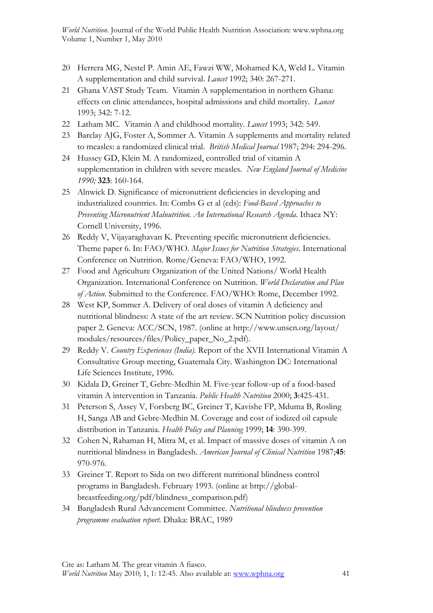- 20 Herrera MG, Nestel P. Amin AE, Fawzi WW, Mohamed KA, Weld L. Vitamin A supplementation and child survival. *Lancet* 1992; 340: 267-271.
- 21 Ghana VAST Study Team. Vitamin A supplementation in northern Ghana: effects on clinic attendances, hospital admissions and child mortality. *Lancet* 1993; 342: 7-12.
- 22 Latham MC. Vitamin A and childhood mortality. *Lancet* 1993; 342: 549.
- 23 Barclay AJG, Foster A, Sommer A. Vitamin A supplements and mortality related to measles: a randomized clinical trial. *British Medical Journal* 1987; 294: 294-296.
- 24 Hussey GD, Klein M. A randomized, controlled trial of vitamin A supplementation in children with severe measles. *New England Journal of Medicine 1990;* **323**: 160-164.
- 25 Alnwick D. Significance of micronutrient deficiencies in developing and industrialized countries. In: Combs G et al (eds): *Food-Based Approaches to Preventing Micronutrient Malnutrition. An International Research Agenda*. Ithaca NY: Cornell University, 1996.
- 26 Reddy V, Vijayaraghavan K. Preventing specific micronutrient deficiencies. Theme paper 6. In: FAO/WHO. *Major Issues for Nutrition Strategies*. International Conference on Nutrition. Rome/Geneva: FAO/WHO, 1992.
- 27 Food and Agriculture Organization of the United Nations/ World Health Organization. International Conference on Nutrition. *World Declaration and Plan of Action*. Submitted to the Conference. FAO/WHO: Rome, December 1992.
- 28 West KP, Sommer A. Delivery of oral doses of vitamin A deficiency and nutritional blindness: A state of the art review. SCN Nutrition policy discussion paper 2. Geneva: ACC/SCN, 1987. (online at http://www.unscn.org/layout/ modules/resources/files/Policy\_paper\_No\_2.pdf).
- 29 Reddy V. *Country Experiences (India).* Report of the XVII International Vitamin A Consultative Group meeting, Guatemala City. Washington DC: International Life Sciences Institute, 1996.
- 30 Kidala D, Greiner T, Gebre-Medhin M. Five-year follow-up of a food-based vitamin A intervention in Tanzania. *Public Health Nutrition* 2000; **3**:425-431.
- 31 Peterson S, Assey V, Forsberg BC, Greiner T, Kavishe FP, Mduma B, Rosling H, Sanga AB and Gebre-Medhin M. Coverage and cost of iodized oil capsule distribution in Tanzania. *Health Policy and Planning* 1999; **14**: 390-399.
- 32 Cohen N, Rahaman H, Mitra M, et al. Impact of massive doses of vitamin A on nutritional blindness in Bangladesh. *American Journal of Clinical Nutrition* 1987;**45**: 970-976.
- 33 Greiner T. Report to Sida on two different nutritional blindness control programs in Bangladesh. February 1993. (online at http://globalbreastfeeding.org/pdf/blindness\_comparison.pdf)
- 34 Bangladesh Rural Advancement Committee. *Nutritional blindness prevention programme evaluation report.* Dhaka: BRAC, 1989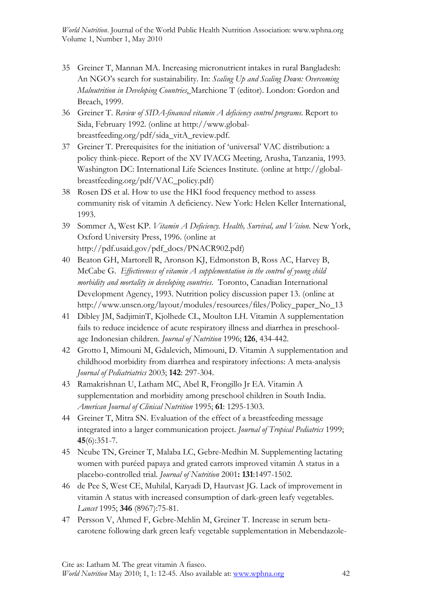- 35 Greiner T, Mannan MA. Increasing micronutrient intakes in rural Bangladesh: An NGO's search for sustainability. In: *Scaling Up and Scaling Down: Overcoming Malnutrition in Developing Countries*. Marchione T (editor). London: Gordon and Breach, 1999.
- 36 Greiner T. *Review of SIDA-financed vitamin A deficiency control programs*. Report to Sida, February 1992. (online at http://www.globalbreastfeeding.org/pdf/sida\_vitA\_review.pdf.
- 37 Greiner T. Prerequisites for the initiation of 'universal' VAC distribution: a policy think-piece. Report of the XV IVACG Meeting, Arusha, Tanzania, 1993. Washington DC: International Life Sciences Institute. (online at http://globalbreastfeeding.org/pdf/VAC\_policy.pdf)
- 38 Rosen DS et al. How to use the HKI food frequency method to assess community risk of vitamin A deficiency. New York: Helen Keller International, 1993.
- 39 Sommer A, West KP. *Vitamin A Deficiency. Health, Survival, and Vision*. New York, Oxford University Press, 1996. (online at http://pdf.usaid.gov/pdf\_docs/PNACR902.pdf)
- 40 Beaton GH, Martorell R, Aronson KJ, Edmonston B, Ross AC, Harvey B, McCabe G. *Effectiveness of vitamin A supplementation in the control of young child morbidity and mortality in developing countries*. Toronto, Canadian International Development Agency, 1993. Nutrition policy discussion paper 13. (online at http://www.unscn.org/layout/modules/resources/files/Policy\_paper\_No\_13
- 41 Dibley JM, SadjiminT, Kjolhede CL, Moulton LH. Vitamin A supplementation fails to reduce incidence of acute respiratory illness and diarrhea in preschoolage Indonesian children. *Journal of Nutrition* 1996; **126**, 434-442.
- 42 Grotto I, Mimouni M, Gdalevich, Mimouni, D. Vitamin A supplementation and childhood morbidity from diarrhea and respiratory infections: A meta-analysis *Journal of Pediatriatrics* 2003; **142**: 297-304.
- 43 Ramakrishnan U, Latham MC, Abel R, Frongillo Jr EA. Vitamin A supplementation and morbidity among preschool children in South India. *American Journal of Clinical Nutrition* 1995; **61**: 1295-1303.
- 44 Greiner T, Mitra SN. Evaluation of the effect of a breastfeeding message integrated into a larger communication project. *Journal of Tropical Pediatrics* 1999; **45**(6):351-7.
- 45 Ncube TN, Greiner T, Malaba LC, Gebre-Medhin M. Supplementing lactating women with puréed papaya and grated carrots improved vitamin A status in a placebo-controlled trial. *Journal of Nutrition* 2001**: 131**:1497-1502.
- 46 de Pee S, West CE, Muhilal, Karyadi D, Hautvast JG. Lack of improvement in vitamin A status with increased consumption of dark-green leafy vegetables. *Lancet* 1995; **346** (8967):75-81.
- 47 Persson V, Ahmed F, Gebre-Mehlin M, Greiner T. Increase in serum betacarotene following dark green leafy vegetable supplementation in Mebendazole-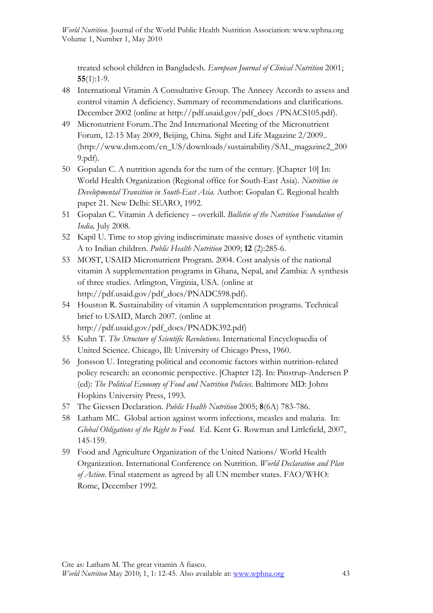treated school children in Bangladesh. *European Journal of Clinical Nutrition* 2001; **55**(1):1-9.

- 48 International Vitamin A Consultative Group. The Annecy Accords to assess and control vitamin A deficiency. Summary of recommendations and clarifications. December 2002 (online at http://pdf.usaid.gov/pdf\_docs /PNACS105.pdf).
- 49 Micronutrient Forum..The 2nd International Meeting of the Micronutrient Forum, 12-15 May 2009, Beijing, China. Sight and Life Magazine 2/2009.. (http://www.dsm.com/en\_US/downloads/sustainability/SAL\_magazine2\_200 9.pdf).
- 50 Gopalan C. A nutrition agenda for the turn of the century. [Chapter 10] In: World Health Organization (Regional office for South-East Asia). *Nutrition in Developmental Transition in South-East Asia*. Author: Gopalan C. Regional health paper 21. New Delhi: SEARO, 1992.
- 51 Gopalan C. Vitamin A deficiency overkill. *Bulletin of the Nutrition Foundation of India,* July 2008.
- 52 Kapil U. Time to stop giving indiscriminate massive doses of synthetic vitamin A to Indian children. *Public Health Nutrition* 2009; **12** (2):285-6.
- 53 MOST, USAID Micronutrient Program. 2004. Cost analysis of the national vitamin A supplementation programs in Ghana, Nepal, and Zambia: A synthesis of three studies. Arlington, Virginia, USA. (online at http://pdf.usaid.gov/pdf\_docs/PNADC598.pdf).
- 54 Houston R. Sustainability of vitamin A supplementation programs. Technical brief to USAID, March 2007. (online at http://pdf.usaid.gov/pdf\_docs/PNADK392.pdf)
- 55 Kuhn T. *The Structure of Scientific Revolutions*. International Encyclopaedia of United Science. Chicago, Ill: University of Chicago Press, 1960.
- 56 Jonsson U. Integrating political and economic factors within nutrition-related policy research: an economic perspective. [Chapter 12]. In: Pinstrup-Andersen P (ed): *The Political Economy of Food and Nutrition Policies*. Baltimore MD: Johns Hopkins University Press, 1993.
- 57 The Giessen Declaration. *Public Health Nutrition* 2005; **8**(6A) 783-786.
- 58 Latham MC. Global action against worm infections, measles and malaria. In: *Global Obligations of the Right to Food*. Ed. Kent G. Rowman and Littlefield, 2007, 145-159.
- 59 Food and Agriculture Organization of the United Nations/ World Health Organization. International Conference on Nutrition. *World Declaration and Plan of Action*. Final statement as agreed by all UN member states. FAO/WHO: Rome, December 1992.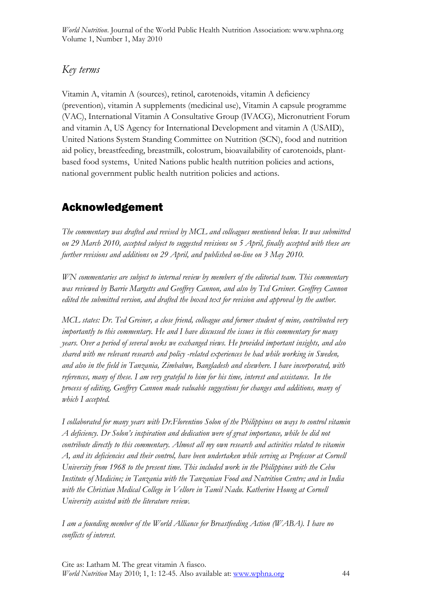## *Key terms*

Vitamin A, vitamin A (sources), retinol, carotenoids, vitamin A deficiency (prevention), vitamin A supplements (medicinal use), Vitamin A capsule programme (VAC), International Vitamin A Consultative Group (IVACG), Micronutrient Forum and vitamin A, US Agency for International Development and vitamin A (USAID), United Nations System Standing Committee on Nutrition (SCN), food and nutrition aid policy, breastfeeding, breastmilk, colostrum, bioavailability of carotenoids, plantbased food systems, United Nations public health nutrition policies and actions, national government public health nutrition policies and actions.

## Acknowledgement

*The commentary was drafted and revised by MCL and colleagues mentioned below. It was submitted on 29 March 2010, accepted subject to suggested revisions on 5 April, finally accepted with these are further revisions and additions on 29 April, and published on-line on 3 May 2010.* 

*WN commentaries are subject to internal review by members of the editorial team. This commentary was reviewed by Barrie Margetts and Geoffrey Cannon, and also by Ted Greiner. Geoffrey Cannon edited the submitted version, and drafted the boxed text for revision and approval by the author.* 

*MCL states: Dr. Ted Greiner, a close friend, colleague and former student of mine, contributed very importantly to this commentary. He and I have discussed the issues in this commentary for many years. Over a period of several weeks we exchanged views. He provided important insights, and also shared with me relevant research and policy -related experiences he had while working in Sweden, and also in the field in Tanzania, Zimbabwe, Bangladesh and elsewhere. I have incorporated, with references, many of these. I am very grateful to him for his time, interest and assistance. In the process of editing, Geoffrey Cannon made valuable suggestions for changes and additions, many of which I accepted.* 

*I collaborated for many years with Dr.Florentino Solon of the Philippines on ways to control vitamin A deficiency. Dr Solon's inspiration and dedication were of great importance, while he did not contribute directly to this commentary. Almost all my own research and activities related to vitamin A, and its deficiencies and their control, have been undertaken while serving as Professor at Cornell University from 1968 to the present time. This included work in the Philippines with the Cebu Institute of Medicine; in Tanzania with the Tanzanian Food and Nutrition Centre; and in India*  with the Christian Medical College in Vellore in Tamil Nadu. Katherine Houng at Cornell *University assisted with the literature review.* 

*I am a founding member of the World Alliance for Breastfeeding Action (WABA). I have no conflicts of interest.*